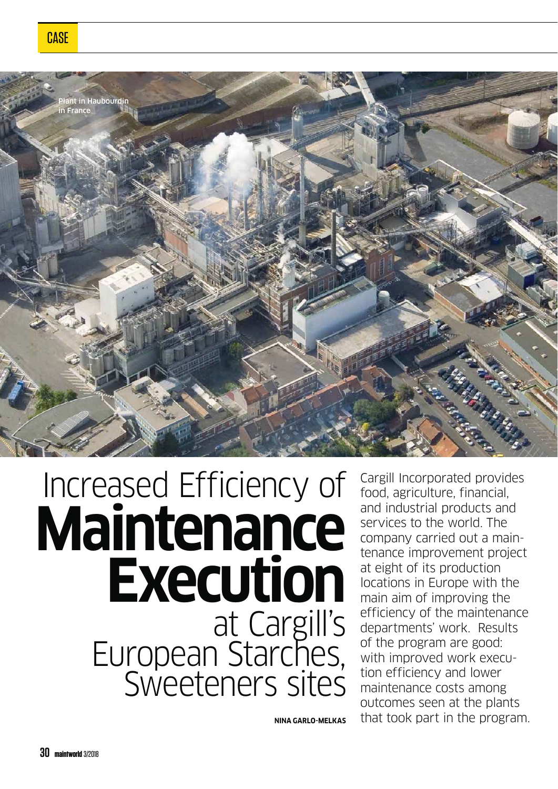

## **Maintenance Execution** at Cargill's<br>European Starches,<br>Sweeteners sites Increased Efficiency of

Cargill Incorporated provides food, agriculture, financial, and industrial products and services to the world. The company carried out a maintenance improvement project at eight of its production locations in Europe with the main aim of improving the efficiency of the maintenance departments' work. Results of the program are good: with improved work execution efficiency and lower maintenance costs among outcomes seen at the plants that took part in the program.

**NINA GARLO-MELKAS**